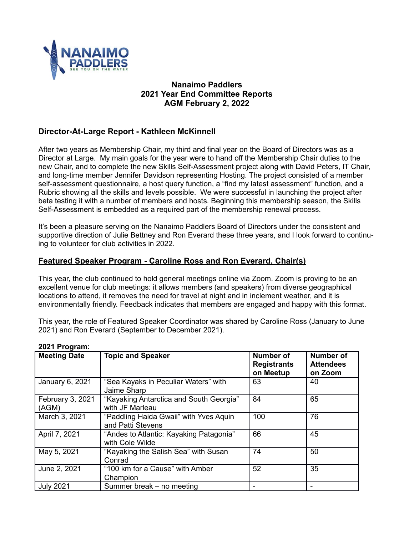

# **Nanaimo Paddlers 2021 Year End Committee Reports AGM February 2, 2022**

# **Director-At-Large Report - Kathleen McKinnell**

After two years as Membership Chair, my third and final year on the Board of Directors was as a Director at Large. My main goals for the year were to hand off the Membership Chair duties to the new Chair, and to complete the new Skills Self-Assessment project along with David Peters, IT Chair, and long-time member Jennifer Davidson representing Hosting. The project consisted of a member self-assessment questionnaire, a host query function, a "find my latest assessment" function, and a Rubric showing all the skills and levels possible. We were successful in launching the project after beta testing it with a number of members and hosts. Beginning this membership season, the Skills Self-Assessment is embedded as a required part of the membership renewal process.

It's been a pleasure serving on the Nanaimo Paddlers Board of Directors under the consistent and supportive direction of Julie Bettney and Ron Everard these three years, and I look forward to continuing to volunteer for club activities in 2022.

# **Featured Speaker Program - Caroline Ross and Ron Everard, Chair(s)**

This year, the club continued to hold general meetings online via Zoom. Zoom is proving to be an excellent venue for club meetings: it allows members (and speakers) from diverse geographical locations to attend, it removes the need for travel at night and in inclement weather, and it is environmentally friendly. Feedback indicates that members are engaged and happy with this format.

This year, the role of Featured Speaker Coordinator was shared by Caroline Ross (January to June 2021) and Ron Everard (September to December 2021).

| - v - 1 1 1 v y 1 v 1111  |                                                             |                                              |                                          |
|---------------------------|-------------------------------------------------------------|----------------------------------------------|------------------------------------------|
| <b>Meeting Date</b>       | <b>Topic and Speaker</b>                                    | Number of<br><b>Registrants</b><br>on Meetup | Number of<br><b>Attendees</b><br>on Zoom |
| January 6, 2021           | "Sea Kayaks in Peculiar Waters" with<br>Jaime Sharp         | 63                                           | 40                                       |
| February 3, 2021<br>(AGM) | "Kayaking Antarctica and South Georgia"<br>with JF Marleau  | 84                                           | 65                                       |
| March 3, 2021             | "Paddling Haida Gwaii" with Yves Aquin<br>and Patti Stevens | 100                                          | 76                                       |
| April 7, 2021             | "Andes to Atlantic: Kayaking Patagonia"<br>with Cole Wilde  | 66                                           | 45                                       |
| May 5, 2021               | "Kayaking the Salish Sea" with Susan<br>Conrad              | 74                                           | 50                                       |
| June 2, 2021              | "100 km for a Cause" with Amber<br>Champion                 | 52                                           | 35                                       |
| <b>July 2021</b>          | Summer break – no meeting                                   |                                              |                                          |

#### **2021 Program:**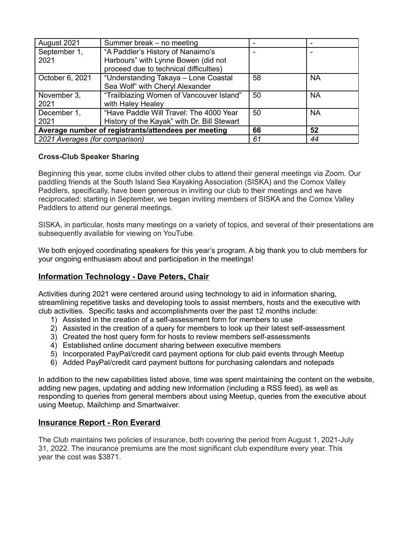| August 2021                                         | Summer break – no meeting                   |    |           |
|-----------------------------------------------------|---------------------------------------------|----|-----------|
| September 1,                                        | "A Paddler's History of Nanaimo's           |    |           |
| 2021                                                | Harbours" with Lynne Bowen (did not         |    |           |
|                                                     | proceed due to technical difficulties)      |    |           |
| October 6, 2021                                     | "Understanding Takaya - Lone Coastal        | 58 | <b>NA</b> |
|                                                     | Sea Wolf" with Cheryl Alexander             |    |           |
| November 3,                                         | "Trailblazing Women of Vancouver Island"    | 50 | <b>NA</b> |
| 2021                                                | with Haley Healey                           |    |           |
| December 1,                                         | "Have Paddle Will Travel: The 4000 Year     | 50 | <b>NA</b> |
| 2021                                                | History of the Kayak" with Dr. Bill Stewart |    |           |
| Average number of registrants/attendees per meeting |                                             | 66 | 52        |
| 2021 Averages (for comparison)                      |                                             | 61 | 44        |

# **Cross-Club Speaker Sharing**

Beginning this year, some clubs invited other clubs to attend their general meetings via Zoom. Our paddling friends at the South Island Sea Kayaking Association (SISKA) and the Comox Valley Paddlers, specifically, have been generous in inviting our club to their meetings and we have reciprocated: starting in September, we began inviting members of SISKA and the Comox Valley Paddlers to attend our general meetings.

SISKA, in particular, hosts many meetings on a variety of topics, and several of their presentations are subsequently available for viewing on YouTube.

We both enjoyed coordinating speakers for this year's program. A big thank you to club members for your ongoing enthusiasm about and participation in the meetings!

# **Information Technology - Dave Peters, Chair**

Activities during 2021 were centered around using technology to aid in information sharing, streamlining repetitive tasks and developing tools to assist members, hosts and the executive with club activities. Specific tasks and accomplishments over the past 12 months include:

- 1) Assisted in the creation of a self-assessment form for members to use
- 2) Assisted in the creation of a query for members to look up their latest self-assessment
- 3) Created the host query form for hosts to review members self-assessments
- 4) Established online document sharing between executive members
- 5) Incorporated PayPal/credit card payment options for club paid events through Meetup
- 6) Added PayPal/credit card payment buttons for purchasing calendars and notepads

In addition to the new capabilities listed above, time was spent maintaining the content on the website, adding new pages, updating and adding new information (including a RSS feed), as well as responding to queries from general members about using Meetup, queries from the executive about using Meetup, Mailchimp and Smartwaiver.

# **Insurance Report - Ron Everard**

The Club maintains two policies of insurance, both covering the period from August 1, 2021-July 31, 2022. The insurance premiums are the most significant club expenditure every year. This year the cost was \$3871.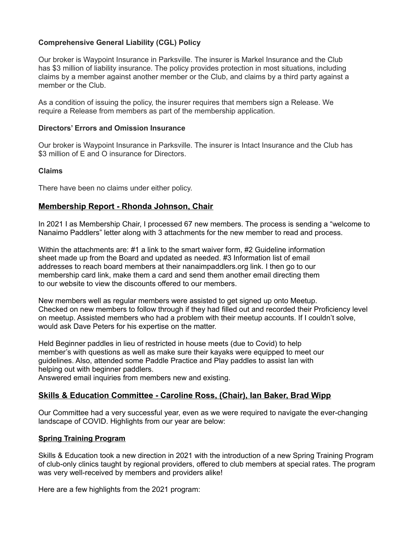## **Comprehensive General Liability (CGL) Policy**

Our broker is Waypoint Insurance in Parksville. The insurer is Markel Insurance and the Club has \$3 million of liability insurance. The policy provides protection in most situations, including claims by a member against another member or the Club, and claims by a third party against a member or the Club.

As a condition of issuing the policy, the insurer requires that members sign a Release. We require a Release from members as part of the membership application.

### **Directors' Errors and Omission Insurance**

Our broker is Waypoint Insurance in Parksville. The insurer is Intact Insurance and the Club has \$3 million of E and O insurance for Directors.

#### **Claims**

There have been no claims under either policy.

## **Membership Report - Rhonda Johnson, Chair**

In 2021 I as Membership Chair, I processed 67 new members. The process is sending a "welcome to Nanaimo Paddlers" letter along with 3 attachments for the new member to read and process.

Within the attachments are: #1 a link to the smart waiver form, #2 Guideline information sheet made up from the Board and updated as needed. #3 Information list of email addresses to reach board members at their nanaimpaddlers.org link. I then go to our membership card link, make them a card and send them another email directing them to our website to view the discounts offered to our members.

New members well as regular members were assisted to get signed up onto Meetup. Checked on new members to follow through if they had filled out and recorded their Proficiency level on meetup. Assisted members who had a problem with their meetup accounts. If I couldn't solve, would ask Dave Peters for his expertise on the matter.

Held Beginner paddles in lieu of restricted in house meets (due to Covid) to help member's with questions as well as make sure their kayaks were equipped to meet our guidelines. Also, attended some Paddle Practice and Play paddles to assist Ian with helping out with beginner paddlers.

Answered email inquiries from members new and existing.

# **Skills & Education Committee - Caroline Ross, (Chair), Ian Baker, Brad Wipp**

Our Committee had a very successful year, even as we were required to navigate the ever-changing landscape of COVID. Highlights from our year are below:

### **Spring Training Program**

Skills & Education took a new direction in 2021 with the introduction of a new Spring Training Program of club-only clinics taught by regional providers, offered to club members at special rates. The program was very well-received by members and providers alike!

Here are a few highlights from the 2021 program: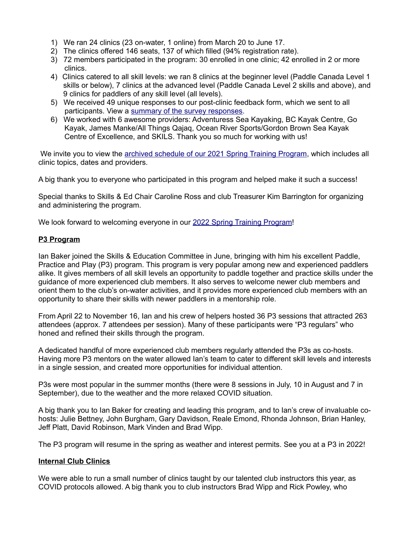- 1) We ran 24 clinics (23 on-water, 1 online) from March 20 to June 17.
- 2) The clinics offered 146 seats, 137 of which filled (94% registration rate).
- 3) 72 members participated in the program: 30 enrolled in one clinic; 42 enrolled in 2 or more clinics.
- 4) Clinics catered to all skill levels: we ran 8 clinics at the beginner level (Paddle Canada Level 1 skills or below), 7 clinics at the advanced level (Paddle Canada Level 2 skills and above), and 9 clinics for paddlers of any skill level (all levels).
- 5) We received 49 unique responses to our post-clinic feedback form, which we sent to all participants. View a [summary of the survey responses.](http://www.nanaimopaddlers.org/uploads/1/8/0/1/18018567/2021_spring_training_program_-_feedback_survey_results_-_web_version.pdf)
- 6) We worked with 6 awesome providers: Adventuress Sea Kayaking, BC Kayak Centre, Go Kayak, James Manke/All Things Qajaq, Ocean River Sports/Gordon Brown Sea Kayak Centre of Excellence, and SKILS. Thank you so much for working with us!

We invite you to view the [archived schedule of our 2021 Spring Training Program,](http://www.nanaimopaddlers.org/training2021.html) which includes all clinic topics, dates and providers.

A big thank you to everyone who participated in this program and helped make it such a success!

Special thanks to Skills & Ed Chair Caroline Ross and club Treasurer Kim Barrington for organizing and administering the program.

We look forward to welcoming everyone in our [2022 Spring Training Program!](http://www.nanaimopaddlers.org/training.html)

### **P3 Program**

Ian Baker joined the Skills & Education Committee in June, bringing with him his excellent Paddle, Practice and Play (P3) program. This program is very popular among new and experienced paddlers alike. It gives members of all skill levels an opportunity to paddle together and practice skills under the guidance of more experienced club members. It also serves to welcome newer club members and orient them to the club's on-water activities, and it provides more experienced club members with an opportunity to share their skills with newer paddlers in a mentorship role.

From April 22 to November 16, Ian and his crew of helpers hosted 36 P3 sessions that attracted 263 attendees (approx. 7 attendees per session). Many of these participants were "P3 regulars" who honed and refined their skills through the program.

A dedicated handful of more experienced club members regularly attended the P3s as co-hosts. Having more P3 mentors on the water allowed Ian's team to cater to different skill levels and interests in a single session, and created more opportunities for individual attention.

P3s were most popular in the summer months (there were 8 sessions in July, 10 in August and 7 in September), due to the weather and the more relaxed COVID situation.

A big thank you to Ian Baker for creating and leading this program, and to Ian's crew of invaluable cohosts: Julie Bettney, John Burgham, Gary Davidson, Reale Emond, Rhonda Johnson, Brian Hanley, Jeff Platt, David Robinson, Mark Vinden and Brad Wipp.

The P3 program will resume in the spring as weather and interest permits. See you at a P3 in 2022!

### **Internal Club Clinics**

We were able to run a small number of clinics taught by our talented club instructors this year, as COVID protocols allowed. A big thank you to club instructors Brad Wipp and Rick Powley, who